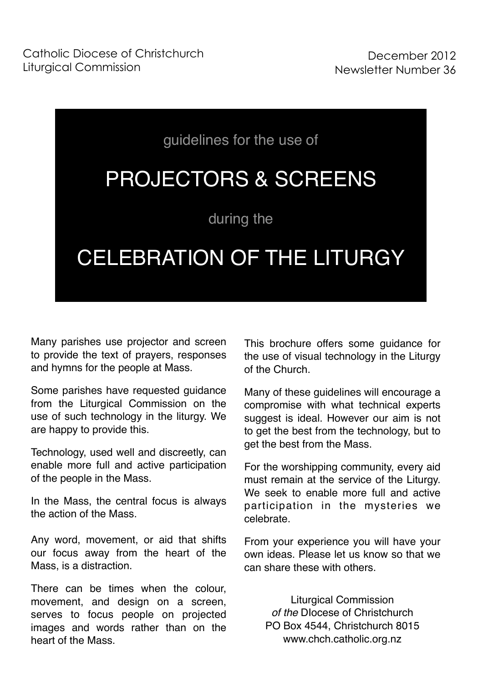

Many parishes use projector and screen to provide the text of prayers, responses and hymns for the people at Mass.

Some parishes have requested guidance from the Liturgical Commission on the use of such technology in the liturgy. We are happy to provide this.

Technology, used well and discreetly, can enable more full and active participation of the people in the Mass.

In the Mass, the central focus is always the action of the Mass.

Any word, movement, or aid that shifts our focus away from the heart of the Mass, is a distraction.

There can be times when the colour, movement, and design on a screen, serves to focus people on projected images and words rather than on the heart of the Mass.

This brochure offers some guidance for the use of visual technology in the Liturgy of the Church.

Many of these guidelines will encourage a compromise with what technical experts suggest is ideal. However our aim is not to get the best from the technology, but to get the best from the Mass.

For the worshipping community, every aid must remain at the service of the Liturgy. We seek to enable more full and active participation in the mysteries we celebrate.

From your experience you will have your own ideas. Please let us know so that we can share these with others.

> Liturgical Commission *of the* DIocese of Christchurch PO Box 4544, Christchurch 8015 [www.chch.catholic.org.nz](http://www.chch.catholic.org.nz)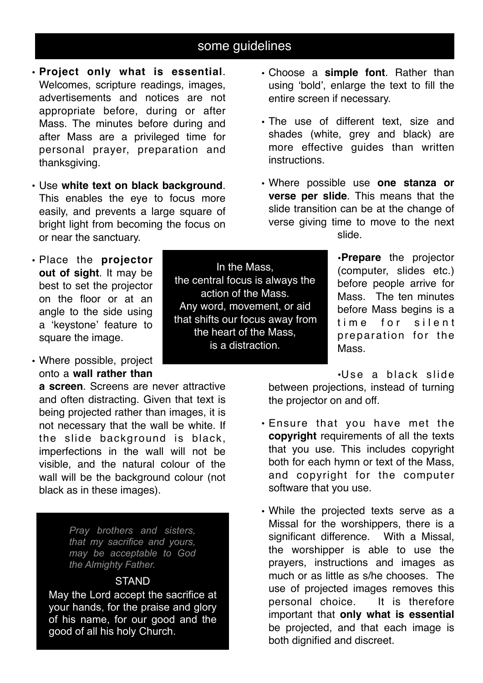# some guidelines

- **Project only what is essential**. Welcomes, scripture readings, images, advertisements and notices are not appropriate before, during or after Mass. The minutes before during and after Mass are a privileged time for personal prayer, preparation and thanksgiving.
- Use **white text on black background**. This enables the eye to focus more easily, and prevents a large square of bright light from becoming the focus on or near the sanctuary.
- Place the **projector out of sight**. It may be best to set the projector on the floor or at an angle to the side using a 'keystone' feature to square the image.
- Where possible, project onto a **wall rather than**

**a screen**. Screens are never attractive and often distracting. Given that text is being projected rather than images, it is not necessary that the wall be white. If the slide background is black, imperfections in the wall will not be visible, and the natural colour of the wall will be the background colour (not black as in these images).

> *Pray brothers and sisters, that my sacrifice and yours, may be acceptable to God the Almighty Father.*

#### **STAND**

May the Lord accept the sacrifice at your hands, for the praise and glory of his name, for our good and the good of all his holy Church.

In the Mass, the central focus is always the action of the Mass. Any word, movement, or aid that shifts our focus away from the heart of the Mass, is a distraction.

- Choose a **simple font**. Rather than using 'bold', enlarge the text to fill the entire screen if necessary.
- The use of different text, size and shades (white, grey and black) are more effective guides than written instructions.
- Where possible use **one stanza or verse per slide**. This means that the slide transition can be at the change of verse giving time to move to the next slide.

•**Prepare** the projector (computer, slides etc.) before people arrive for Mass. The ten minutes before Mass begins is a time for silent preparation for the Mass.

•Use a black slide

between projections, instead of turning the projector on and off.

- Ensure that you have met the **copyright** requirements of all the texts that you use. This includes copyright both for each hymn or text of the Mass, and copyright for the computer software that you use.
- While the projected texts serve as a Missal for the worshippers, there is a significant difference. With a Missal. the worshipper is able to use the prayers, instructions and images as much or as little as s/he chooses. The use of projected images removes this personal choice. It is therefore important that **only what is essential**  be projected, and that each image is both dignified and discreet.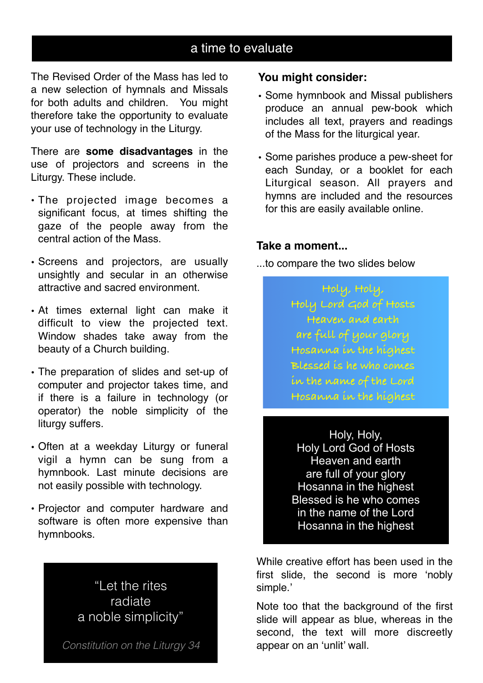## a time to evaluate

The Revised Order of the Mass has led to a new selection of hymnals and Missals for both adults and children. You might therefore take the opportunity to evaluate your use of technology in the Liturgy.

There are **some disadvantages** in the use of projectors and screens in the Liturgy. These include.

- The projected image becomes a significant focus, at times shifting the gaze of the people away from the central action of the Mass.
- Screens and projectors, are usually unsightly and secular in an otherwise attractive and sacred environment.
- At times external light can make it difficult to view the projected text. Window shades take away from the beauty of a Church building.
- The preparation of slides and set-up of computer and projector takes time, and if there is a failure in technology (or operator) the noble simplicity of the liturgy suffers.
- Often at a weekday Liturgy or funeral vigil a hymn can be sung from a hymnbook. Last minute decisions are not easily possible with technology.
- Projector and computer hardware and software is often more expensive than hymnbooks.

"Let the rites radiate a noble simplicity"

*Constitution on the Liturgy 34*

### **You might consider:**

- Some hymnbook and Missal publishers produce an annual pew-book which includes all text, prayers and readings of the Mass for the liturgical year.
- Some parishes produce a pew-sheet for each Sunday, or a booklet for each Liturgical season. All prayers and hymns are included and the resources for this are easily available online.

#### **Take a moment...**

...to compare the two slides below

**Holy, Holy, Holy Lord God of Hosts Heaven and earth are full of your glory Hosanna in the highest Blessed is he who comes in the name of the Lord Hosanna in the highest**

Holy, Holy, Holy Lord God of Hosts Heaven and earth are full of your glory Hosanna in the highest Blessed is he who comes in the name of the Lord Hosanna in the highest

While creative effort has been used in the first slide, the second is more 'nobly simple.'

Note too that the background of the first slide will appear as blue, whereas in the second, the text will more discreetly appear on an 'unlit' wall.